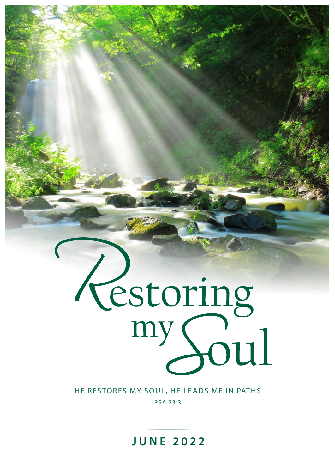# Testoring<br>my Soul

#### HE RESTORES MY SOUL, HE LEADS ME IN PATHS PSA 23:3

**JUNE 2022**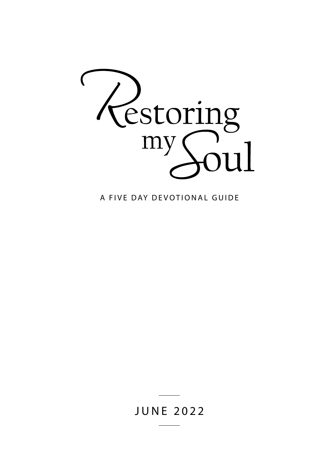

A FIVE DAY DEVOTIONAL GUIDE

#### JUNE 2022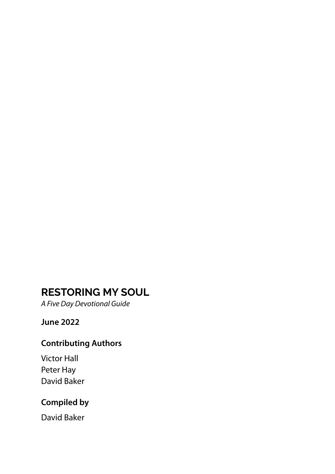#### **RESTORING MY SOUL**

*A Five Day Devotional Guide*

#### **June 2022**

#### **Contributing Authors**

Victor Hall Peter Hay David Baker

#### **Compiled by**

David Baker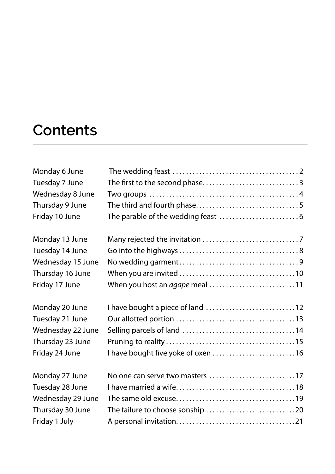#### **Contents**

| Monday 6 June     |                                    |  |
|-------------------|------------------------------------|--|
| Tuesday 7 June    |                                    |  |
| Wednesday 8 June  |                                    |  |
| Thursday 9 June   |                                    |  |
| Friday 10 June    |                                    |  |
| Monday 13 June    |                                    |  |
| Tuesday 14 June   |                                    |  |
| Wednesday 15 June |                                    |  |
| Thursday 16 June  |                                    |  |
| Friday 17 June    | When you host an agape meal 11     |  |
| Monday 20 June    |                                    |  |
| Tuesday 21 June   |                                    |  |
| Wednesday 22 June |                                    |  |
| Thursday 23 June  |                                    |  |
| Friday 24 June    | I have bought five yoke of oxen 16 |  |
| Monday 27 June    | No one can serve two masters 17    |  |
| Tuesday 28 June   |                                    |  |
| Wednesday 29 June |                                    |  |
| Thursday 30 June  | The failure to choose sonship 20   |  |
| Friday 1 July     |                                    |  |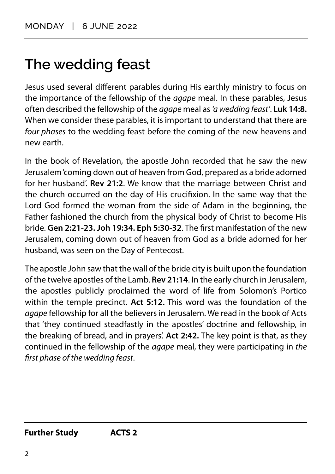## <span id="page-4-0"></span>**The wedding feast**

Jesus used several different parables during His earthly ministry to focus on the importance of the fellowship of the *agape* meal. In these parables, Jesus often described the fellowship of the *agape* meal as *'a wedding feast'*. **Luk 14:8.** When we consider these parables, it is important to understand that there are *four phases* to the wedding feast before the coming of the new heavens and new earth.

In the book of Revelation, the apostle John recorded that he saw the new Jerusalem 'coming down out of heaven from God, prepared as a bride adorned for her husband'. **Rev 21:2**. We know that the marriage between Christ and the church occurred on the day of His crucifixion. In the same way that the Lord God formed the woman from the side of Adam in the beginning, the Father fashioned the church from the physical body of Christ to become His bride. **Gen 2:21-23. Joh 19:34. Eph 5:30-32**. The first manifestation of the new Jerusalem, coming down out of heaven from God as a bride adorned for her husband, was seen on the Day of Pentecost.

The apostle John saw that the wall of the bride city is built upon the foundation of the twelve apostles of the Lamb. **Rev 21:14**. In the early church in Jerusalem, the apostles publicly proclaimed the word of life from Solomon's Portico within the temple precinct. **Act 5:12.** This word was the foundation of the *agape* fellowship for all the believers in Jerusalem. We read in the book of Acts that 'they continued steadfastly in the apostles' doctrine and fellowship, in the breaking of bread, and in prayers'. **Act 2:42.** The key point is that, as they continued in the fellowship of the *agape* meal, they were participating in *the first phase of the wedding feast*.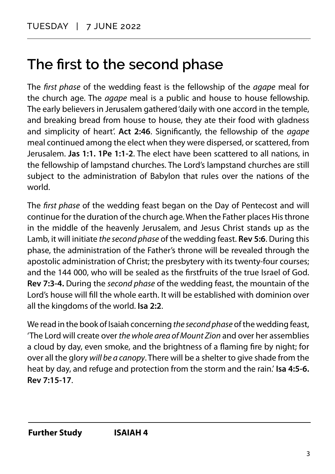#### <span id="page-5-0"></span>**The first to the second phase**

The *first phase* of the wedding feast is the fellowship of the *agape* meal for the church age. The *agape* meal is a public and house to house fellowship. The early believers in Jerusalem gathered 'daily with one accord in the temple, and breaking bread from house to house, they ate their food with gladness and simplicity of heart'. **Act 2:46**. Significantly, the fellowship of the *agape* meal continued among the elect when they were dispersed, or scattered, from Jerusalem. **Jas 1:1. 1Pe 1:1-2**. The elect have been scattered to all nations, in the fellowship of lampstand churches. The Lord's lampstand churches are still subject to the administration of Babylon that rules over the nations of the world.

The *first phase* of the wedding feast began on the Day of Pentecost and will continue for the duration of the church age. When the Father places His throne in the middle of the heavenly Jerusalem, and Jesus Christ stands up as the Lamb, it will initiate *the second phase* of the wedding feast. **Rev 5:6**. During this phase, the administration of the Father's throne will be revealed through the apostolic administration of Christ; the presbytery with its twenty-four courses; and the 144 000, who will be sealed as the firstfruits of the true Israel of God. **Rev 7:3-4.** During the *second phase* of the wedding feast, the mountain of the Lord's house will fill the whole earth. It will be established with dominion over all the kingdoms of the world. **Isa 2:2**.

We read in the book of Isaiah concerning *the second phase* of the wedding feast, 'The Lord will create over *the whole area of Mount Zion* and over her assemblies a cloud by day, even smoke, and the brightness of a flaming fire by night; for over all the glory *will be a canopy*. There will be a shelter to give shade from the heat by day, and refuge and protection from the storm and the rain.' **Isa 4:5-6. Rev 7:15-17**.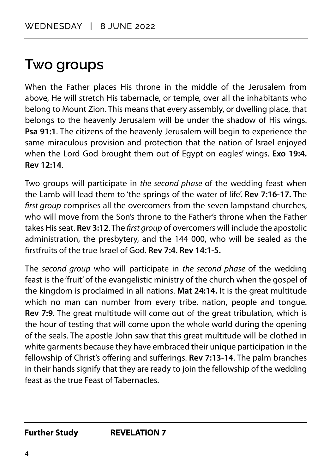#### <span id="page-6-0"></span>**Two groups**

When the Father places His throne in the middle of the Jerusalem from above, He will stretch His tabernacle, or temple, over all the inhabitants who belong to Mount Zion. This means that every assembly, or dwelling place, that belongs to the heavenly Jerusalem will be under the shadow of His wings. **Psa 91:1**. The citizens of the heavenly Jerusalem will begin to experience the same miraculous provision and protection that the nation of Israel enjoyed when the Lord God brought them out of Egypt on eagles' wings. **Exo 19:4. Rev 12:14**.

Two groups will participate in *the second phase* of the wedding feast when the Lamb will lead them to 'the springs of the water of life'. **Rev 7:16-17.** The *first group* comprises all the overcomers from the seven lampstand churches, who will move from the Son's throne to the Father's throne when the Father takes His seat. **Rev 3:12**. The *first group* of overcomers will include the apostolic administration, the presbytery, and the 144 000, who will be sealed as the firstfruits of the true Israel of God. **Rev 7:4. Rev 14:1-5.**

The *second group* who will participate in *the second phase* of the wedding feast is the 'fruit' of the evangelistic ministry of the church when the gospel of the kingdom is proclaimed in all nations. **Mat 24:14.** It is the great multitude which no man can number from every tribe, nation, people and tongue. **Rev 7:9**. The great multitude will come out of the great tribulation, which is the hour of testing that will come upon the whole world during the opening of the seals. The apostle John saw that this great multitude will be clothed in white garments because they have embraced their unique participation in the fellowship of Christ's offering and sufferings. **Rev 7:13-14**. The palm branches in their hands signify that they are ready to join the fellowship of the wedding feast as the true Feast of Tabernacles.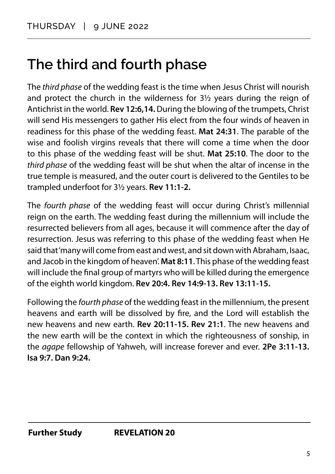#### <span id="page-7-0"></span>**The third and fourth phase**

The *third phase* of the wedding feast is the time when Jesus Christ will nourish and protect the church in the wilderness for 3½ years during the reign of Antichrist in the world. **Rev 12:6,14.** During the blowing of the trumpets, Christ will send His messengers to gather His elect from the four winds of heaven in readiness for this phase of the wedding feast. **Mat 24:31**. The parable of the wise and foolish virgins reveals that there will come a time when the door to this phase of the wedding feast will be shut. **Mat 25:10**. The door to the *third phase* of the wedding feast will be shut when the altar of incense in the true temple is measured, and the outer court is delivered to the Gentiles to be trampled underfoot for 3½ years. **Rev 11:1-2.**

The *fourth phase* of the wedding feast will occur during Christ's millennial reign on the earth. The wedding feast during the millennium will include the resurrected believers from all ages, because it will commence after the day of resurrection. Jesus was referring to this phase of the wedding feast when He said that 'many will come from east and west, and sit down with Abraham, Isaac, and Jacob in the kingdom of heaven'. **Mat 8:11**. This phase of the wedding feast will include the final group of martyrs who will be killed during the emergence of the eighth world kingdom. **Rev 20:4. Rev 14:9-13. Rev 13:11-15.**

Following the *fourth phase* of the wedding feast in the millennium, the present heavens and earth will be dissolved by fire, and the Lord will establish the new heavens and new earth. **Rev 20:11-15. Rev 21:1**. The new heavens and the new earth will be the context in which the righteousness of sonship, in the *agape* fellowship of Yahweh, will increase forever and ever. **2Pe 3:11-13. Isa 9:7. Dan 9:24.**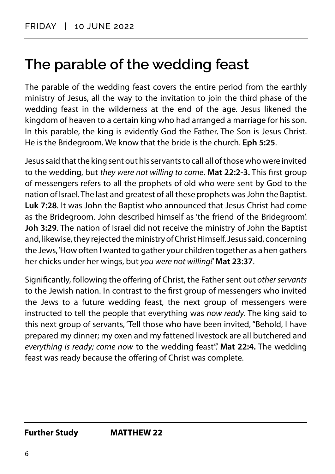#### <span id="page-8-0"></span>**The parable of the wedding feast**

The parable of the wedding feast covers the entire period from the earthly ministry of Jesus, all the way to the invitation to join the third phase of the wedding feast in the wilderness at the end of the age. Jesus likened the kingdom of heaven to a certain king who had arranged a marriage for his son. In this parable, the king is evidently God the Father. The Son is Jesus Christ. He is the Bridegroom. We know that the bride is the church. **Eph 5:25**.

Jesus said that the king sent out his servants to call all of those who were invited to the wedding, but *they were not willing to come*. **Mat 22:2-3.** This first group of messengers refers to all the prophets of old who were sent by God to the nation of Israel. The last and greatest of all these prophets was John the Baptist. **Luk 7:28**. It was John the Baptist who announced that Jesus Christ had come as the Bridegroom. John described himself as 'the friend of the Bridegroom'. **Joh 3:29**. The nation of Israel did not receive the ministry of John the Baptist and, likewise, they rejected the ministry of Christ Himself. Jesus said, concerning the Jews, 'How often I wanted to gather your children together as a hen gathers her chicks under her wings, but *you were not willing!*' **Mat 23:37**.

Significantly, following the offering of Christ, the Father sent out *other servants*  to the Jewish nation. In contrast to the first group of messengers who invited the Jews to a future wedding feast, the next group of messengers were instructed to tell the people that everything was *now ready*. The king said to this next group of servants, 'Tell those who have been invited, "Behold, I have prepared my dinner; my oxen and my fattened livestock are all butchered and *everything is ready; come now* to the wedding feast".' **Mat 22:4.** The wedding feast was ready because the offering of Christ was complete.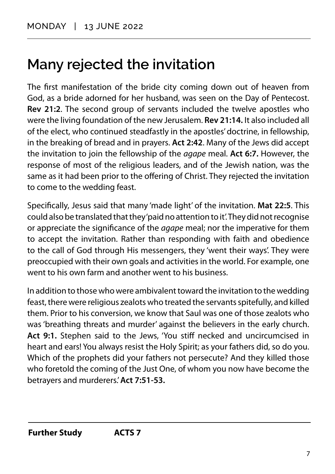## <span id="page-9-0"></span>**Many rejected the invitation**

The first manifestation of the bride city coming down out of heaven from God, as a bride adorned for her husband, was seen on the Day of Pentecost. **Rev 21:2**. The second group of servants included the twelve apostles who were the living foundation of the new Jerusalem. **Rev 21:14.** It also included all of the elect, who continued steadfastly in the apostles' doctrine, in fellowship, in the breaking of bread and in prayers. **Act 2:42**. Many of the Jews did accept the invitation to join the fellowship of the *agape* meal. **Act 6:7.** However, the response of most of the religious leaders, and of the Jewish nation, was the same as it had been prior to the offering of Christ. They rejected the invitation to come to the wedding feast.

Specifically, Jesus said that many 'made light' of the invitation. **Mat 22:5**. This could also be translated that they 'paid no attention to it'. They did not recognise or appreciate the significance of the *agape* meal; nor the imperative for them to accept the invitation. Rather than responding with faith and obedience to the call of God through His messengers, they 'went their ways'. They were preoccupied with their own goals and activities in the world. For example, one went to his own farm and another went to his business.

In addition to those who were ambivalent toward the invitation to the wedding feast, there were religious zealots who treated the servants spitefully, and killed them. Prior to his conversion, we know that Saul was one of those zealots who was 'breathing threats and murder' against the believers in the early church. **Act 9:1.** Stephen said to the Jews, 'You stiff necked and uncircumcised in heart and ears! You always resist the Holy Spirit; as your fathers did, so do you. Which of the prophets did your fathers not persecute? And they killed those who foretold the coming of the Just One, of whom you now have become the betrayers and murderers.' **Act 7:51-53.**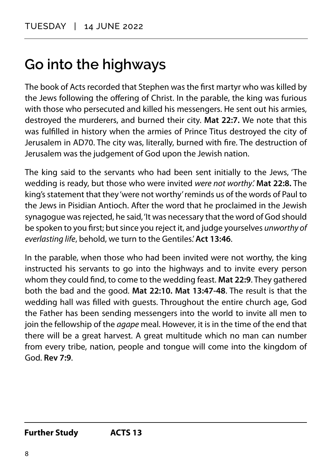# <span id="page-10-0"></span>**Go into the highways**

The book of Acts recorded that Stephen was the first martyr who was killed by the Jews following the offering of Christ. In the parable, the king was furious with those who persecuted and killed his messengers. He sent out his armies, destroyed the murderers, and burned their city. **Mat 22:7.** We note that this was fulfilled in history when the armies of Prince Titus destroyed the city of Jerusalem in AD70. The city was, literally, burned with fire. The destruction of Jerusalem was the judgement of God upon the Jewish nation.

The king said to the servants who had been sent initially to the Jews, 'The wedding is ready, but those who were invited *were not worthy*.' **Mat 22:8.** The king's statement that they 'were not worthy' reminds us of the words of Paul to the Jews in Pisidian Antioch. After the word that he proclaimed in the Jewish synagogue was rejected, he said, 'It was necessary that the word of God should be spoken to you first; but since you reject it, and judge yourselves *unworthy of everlasting life*, behold, we turn to the Gentiles.' **Act 13:46**.

In the parable, when those who had been invited were not worthy, the king instructed his servants to go into the highways and to invite every person whom they could find, to come to the wedding feast. **Mat 22:9**. They gathered both the bad and the good. **Mat 22:10. Mat 13:47-48**. The result is that the wedding hall was filled with guests. Throughout the entire church age, God the Father has been sending messengers into the world to invite all men to join the fellowship of the *agape* meal. However, it is in the time of the end that there will be a great harvest. A great multitude which no man can number from every tribe, nation, people and tongue will come into the kingdom of God. **Rev 7:9**.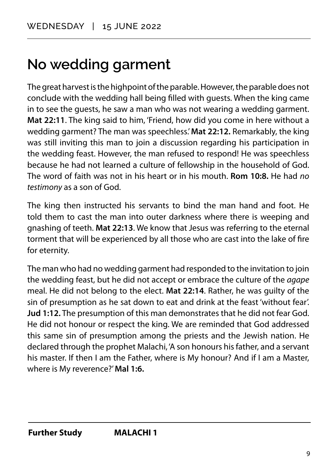## <span id="page-11-0"></span>**No wedding garment**

The great harvest is the highpoint of the parable. However, the parable does not conclude with the wedding hall being filled with guests. When the king came in to see the guests, he saw a man who was not wearing a wedding garment. **Mat 22:11**. The king said to him, 'Friend, how did you come in here without a wedding garment? The man was speechless.' **Mat 22:12.** Remarkably, the king was still inviting this man to join a discussion regarding his participation in the wedding feast. However, the man refused to respond! He was speechless because he had not learned a culture of fellowship in the household of God. The word of faith was not in his heart or in his mouth. **Rom 10:8.** He had *no testimony* as a son of God.

The king then instructed his servants to bind the man hand and foot. He told them to cast the man into outer darkness where there is weeping and gnashing of teeth. **Mat 22:13**. We know that Jesus was referring to the eternal torment that will be experienced by all those who are cast into the lake of fire for eternity.

The man who had no wedding garment had responded to the invitation to join the wedding feast, but he did not accept or embrace the culture of the *agape* meal. He did not belong to the elect. **Mat 22:14**. Rather, he was guilty of the sin of presumption as he sat down to eat and drink at the feast 'without fear'. **Jud 1:12.** The presumption of this man demonstrates that he did not fear God. He did not honour or respect the king. We are reminded that God addressed this same sin of presumption among the priests and the Jewish nation. He declared through the prophet Malachi, 'A son honours his father, and a servant his master. If then I am the Father, where is My honour? And if I am a Master, where is My reverence?' **Mal 1:6.**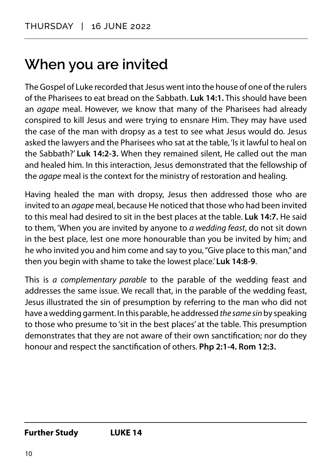## <span id="page-12-0"></span>**When you are invited**

The Gospel of Luke recorded that Jesus went into the house of one of the rulers of the Pharisees to eat bread on the Sabbath. **Luk 14:1.** This should have been an *agape* meal. However, we know that many of the Pharisees had already conspired to kill Jesus and were trying to ensnare Him. They may have used the case of the man with dropsy as a test to see what Jesus would do. Jesus asked the lawyers and the Pharisees who sat at the table, 'Is it lawful to heal on the Sabbath?' **Luk 14:2-3.** When they remained silent, He called out the man and healed him. In this interaction, Jesus demonstrated that the fellowship of the *agape* meal is the context for the ministry of restoration and healing.

Having healed the man with dropsy, Jesus then addressed those who are invited to an *agape* meal, because He noticed that those who had been invited to this meal had desired to sit in the best places at the table. **Luk 14:7.** He said to them, 'When you are invited by anyone to *a wedding feast*, do not sit down in the best place, lest one more honourable than you be invited by him; and he who invited you and him come and say to you, "Give place to this man," and then you begin with shame to take the lowest place.' **Luk 14:8-9**.

This is *a complementary parable* to the parable of the wedding feast and addresses the same issue. We recall that, in the parable of the wedding feast, Jesus illustrated the sin of presumption by referring to the man who did not have a wedding garment. In this parable, he addressed *the same sin* by speaking to those who presume to 'sit in the best places' at the table. This presumption demonstrates that they are not aware of their own sanctification; nor do they honour and respect the sanctification of others. **Php 2:1-4. Rom 12:3.**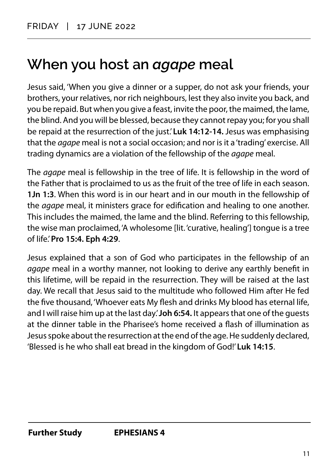#### <span id="page-13-0"></span>**When you host an** *agape* **meal**

Jesus said, 'When you give a dinner or a supper, do not ask your friends, your brothers, your relatives, nor rich neighbours, lest they also invite you back, and you be repaid. But when you give a feast, invite the poor, the maimed, the lame, the blind. And you will be blessed, because they cannot repay you; for you shall be repaid at the resurrection of the just.' **Luk 14:12-14.** Jesus was emphasising that the *agape* meal is not a social occasion; and nor is it a 'trading' exercise. All trading dynamics are a violation of the fellowship of the *agape* meal.

The *agape* meal is fellowship in the tree of life. It is fellowship in the word of the Father that is proclaimed to us as the fruit of the tree of life in each season. **1Jn 1:3**. When this word is in our heart and in our mouth in the fellowship of the *agape* meal, it ministers grace for edification and healing to one another. This includes the maimed, the lame and the blind. Referring to this fellowship, the wise man proclaimed, 'A wholesome [lit. 'curative, healing'] tongue is a tree of life.' **Pro 15:4. Eph 4:29**.

Jesus explained that a son of God who participates in the fellowship of an *agape* meal in a worthy manner, not looking to derive any earthly benefit in this lifetime, will be repaid in the resurrection. They will be raised at the last day. We recall that Jesus said to the multitude who followed Him after He fed the five thousand, 'Whoever eats My flesh and drinks My blood has eternal life, and I will raise him up at the last day.' **Joh 6:54.** It appears that one of the guests at the dinner table in the Pharisee's home received a flash of illumination as Jesus spoke about the resurrection at the end of the age. He suddenly declared, 'Blessed is he who shall eat bread in the kingdom of God!' **Luk 14:15**.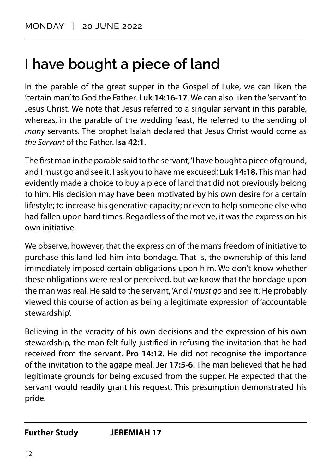## <span id="page-14-0"></span>**I have bought a piece of land**

In the parable of the great supper in the Gospel of Luke, we can liken the 'certain man' to God the Father. **Luk 14:16-17**. We can also liken the 'servant' to Jesus Christ. We note that Jesus referred to a singular servant in this parable, whereas, in the parable of the wedding feast, He referred to the sending of *many* servants. The prophet Isaiah declared that Jesus Christ would come as *the Servant* of the Father. **Isa 42:1**.

The first man in the parable said to the servant, 'I have bought a piece of ground, and I must go and see it. I ask you to have me excused.' **Luk 14:18.** This man had evidently made a choice to buy a piece of land that did not previously belong to him. His decision may have been motivated by his own desire for a certain lifestyle; to increase his generative capacity; or even to help someone else who had fallen upon hard times. Regardless of the motive, it was the expression his own initiative.

We observe, however, that the expression of the man's freedom of initiative to purchase this land led him into bondage. That is, the ownership of this land immediately imposed certain obligations upon him. We don't know whether these obligations were real or perceived, but we know that the bondage upon the man was real. He said to the servant, 'And *I must go* and see it.' He probably viewed this course of action as being a legitimate expression of 'accountable stewardship'.

Believing in the veracity of his own decisions and the expression of his own stewardship, the man felt fully justified in refusing the invitation that he had received from the servant. **Pro 14:12.** He did not recognise the importance of the invitation to the agape meal. **Jer 17:5-6.** The man believed that he had legitimate grounds for being excused from the supper. He expected that the servant would readily grant his request. This presumption demonstrated his pride.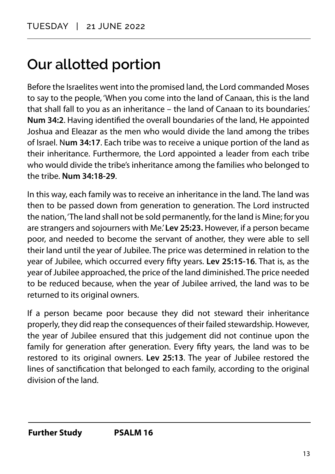## <span id="page-15-0"></span>**Our allotted portion**

Before the Israelites went into the promised land, the Lord commanded Moses to say to the people, 'When you come into the land of Canaan, this is the land that shall fall to you as an inheritance – the land of Canaan to its boundaries.' **Num 34:2**. Having identified the overall boundaries of the land, He appointed Joshua and Eleazar as the men who would divide the land among the tribes of Israel. N**um 34:17**. Each tribe was to receive a unique portion of the land as their inheritance. Furthermore, the Lord appointed a leader from each tribe who would divide the tribe's inheritance among the families who belonged to the tribe. **Num 34:18-29**.

In this way, each family was to receive an inheritance in the land. The land was then to be passed down from generation to generation. The Lord instructed the nation, 'The land shall not be sold permanently, for the land is Mine; for you are strangers and sojourners with Me.' **Lev 25:23.** However, if a person became poor, and needed to become the servant of another, they were able to sell their land until the year of Jubilee. The price was determined in relation to the year of Jubilee, which occurred every fifty years. **Lev 25:15-16**. That is, as the year of Jubilee approached, the price of the land diminished. The price needed to be reduced because, when the year of Jubilee arrived, the land was to be returned to its original owners.

If a person became poor because they did not steward their inheritance properly, they did reap the consequences of their failed stewardship. However, the year of Jubilee ensured that this judgement did not continue upon the family for generation after generation. Every fifty years, the land was to be restored to its original owners. **Lev 25:13**. The year of Jubilee restored the lines of sanctification that belonged to each family, according to the original division of the land.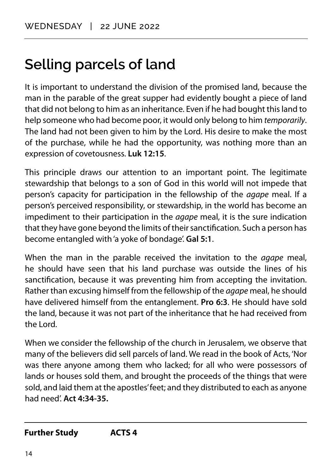## <span id="page-16-0"></span>**Selling parcels of land**

It is important to understand the division of the promised land, because the man in the parable of the great supper had evidently bought a piece of land that did not belong to him as an inheritance. Even if he had bought this land to help someone who had become poor, it would only belong to him *temporarily*. The land had not been given to him by the Lord. His desire to make the most of the purchase, while he had the opportunity, was nothing more than an expression of covetousness. **Luk 12:15**.

This principle draws our attention to an important point. The legitimate stewardship that belongs to a son of God in this world will not impede that person's capacity for participation in the fellowship of the *agape* meal. If a person's perceived responsibility, or stewardship, in the world has become an impediment to their participation in the *agape* meal, it is the sure indication that they have gone beyond the limits of their sanctification. Such a person has become entangled with 'a yoke of bondage'. **Gal 5:1**.

When the man in the parable received the invitation to the *agape* meal, he should have seen that his land purchase was outside the lines of his sanctification, because it was preventing him from accepting the invitation. Rather than excusing himself from the fellowship of the *agape* meal, he should have delivered himself from the entanglement. **Pro 6:3**. He should have sold the land, because it was not part of the inheritance that he had received from the Lord.

When we consider the fellowship of the church in Jerusalem, we observe that many of the believers did sell parcels of land. We read in the book of Acts, 'Nor was there anyone among them who lacked; for all who were possessors of lands or houses sold them, and brought the proceeds of the things that were sold, and laid them at the apostles' feet; and they distributed to each as anyone had need'. **Act 4:34-35.**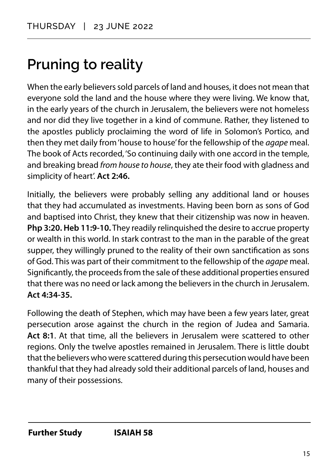# <span id="page-17-0"></span>**Pruning to reality**

When the early believers sold parcels of land and houses, it does not mean that everyone sold the land and the house where they were living. We know that, in the early years of the church in Jerusalem, the believers were not homeless and nor did they live together in a kind of commune. Rather, they listened to the apostles publicly proclaiming the word of life in Solomon's Portico, and then they met daily from 'house to house' for the fellowship of the *agape* meal. The book of Acts recorded, 'So continuing daily with one accord in the temple, and breaking bread *from house to house*, they ate their food with gladness and simplicity of heart'. **Act 2:46.**

Initially, the believers were probably selling any additional land or houses that they had accumulated as investments. Having been born as sons of God and baptised into Christ, they knew that their citizenship was now in heaven. **Php 3:20. Heb 11:9-10.** They readily relinquished the desire to accrue property or wealth in this world. In stark contrast to the man in the parable of the great supper, they willingly pruned to the reality of their own sanctification as sons of God. This was part of their commitment to the fellowship of the *agape* meal. Significantly, the proceeds from the sale of these additional properties ensured that there was no need or lack among the believers in the church in Jerusalem. **Act 4:34-35.**

Following the death of Stephen, which may have been a few years later, great persecution arose against the church in the region of Judea and Samaria. **Act 8:1**. At that time, all the believers in Jerusalem were scattered to other regions. Only the twelve apostles remained in Jerusalem. There is little doubt that the believers who were scattered during this persecution would have been thankful that they had already sold their additional parcels of land, houses and many of their possessions.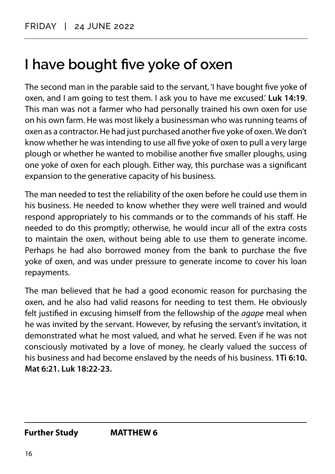#### <span id="page-18-0"></span>**I have bought five yoke of oxen**

The second man in the parable said to the servant, 'I have bought five yoke of oxen, and I am going to test them. I ask you to have me excused.' **Luk 14:19**. This man was not a farmer who had personally trained his own oxen for use on his own farm. He was most likely a businessman who was running teams of oxen as a contractor. He had just purchased another five yoke of oxen. We don't know whether he was intending to use all five yoke of oxen to pull a very large plough or whether he wanted to mobilise another five smaller ploughs, using one yoke of oxen for each plough. Either way, this purchase was a significant expansion to the generative capacity of his business.

The man needed to test the reliability of the oxen before he could use them in his business. He needed to know whether they were well trained and would respond appropriately to his commands or to the commands of his staff. He needed to do this promptly; otherwise, he would incur all of the extra costs to maintain the oxen, without being able to use them to generate income. Perhaps he had also borrowed money from the bank to purchase the five yoke of oxen, and was under pressure to generate income to cover his loan repayments.

The man believed that he had a good economic reason for purchasing the oxen, and he also had valid reasons for needing to test them. He obviously felt justified in excusing himself from the fellowship of the *agape* meal when he was invited by the servant. However, by refusing the servant's invitation, it demonstrated what he most valued, and what he served. Even if he was not consciously motivated by a love of money, he clearly valued the success of his business and had become enslaved by the needs of his business. **1Ti 6:10. Mat 6:21. Luk 18:22-23.**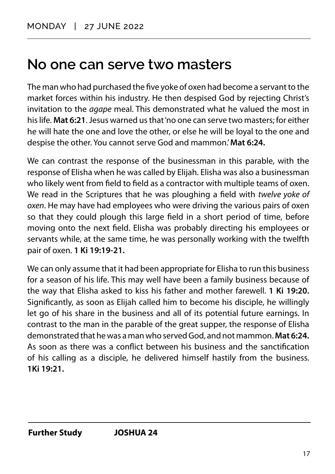#### <span id="page-19-0"></span>**No one can serve two masters**

The man who had purchased the five yoke of oxen had become a servant to the market forces within his industry. He then despised God by rejecting Christ's invitation to the *agape* meal. This demonstrated what he valued the most in his life. **Mat 6:21**. Jesus warned us that 'no one can serve two masters; for either he will hate the one and love the other, or else he will be loyal to the one and despise the other. You cannot serve God and mammon.' **Mat 6:24.**

We can contrast the response of the businessman in this parable, with the response of Elisha when he was called by Elijah. Elisha was also a businessman who likely went from field to field as a contractor with multiple teams of oxen. We read in the Scriptures that he was ploughing a field with *twelve yoke of oxen*. He may have had employees who were driving the various pairs of oxen so that they could plough this large field in a short period of time, before moving onto the next field. Elisha was probably directing his employees or servants while, at the same time, he was personally working with the twelfth pair of oxen. **1 Ki 19:19-21.**

We can only assume that it had been appropriate for Elisha to run this business for a season of his life. This may well have been a family business because of the way that Elisha asked to kiss his father and mother farewell. **1 Ki 19:20.**  Significantly, as soon as Elijah called him to become his disciple, he willingly let go of his share in the business and all of its potential future earnings. In contrast to the man in the parable of the great supper, the response of Elisha demonstrated that he was a man who served God, and not mammon. **Mat 6:24.**  As soon as there was a conflict between his business and the sanctification of his calling as a disciple, he delivered himself hastily from the business. **1Ki 19:21.**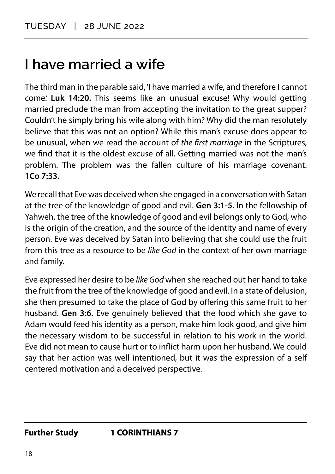#### <span id="page-20-0"></span>**I have married a wife**

The third man in the parable said, 'I have married a wife, and therefore I cannot come.' **Luk 14:20.** This seems like an unusual excuse! Why would getting married preclude the man from accepting the invitation to the great supper? Couldn't he simply bring his wife along with him? Why did the man resolutely believe that this was not an option? While this man's excuse does appear to be unusual, when we read the account of *the first marriage* in the Scriptures, we find that it is the oldest excuse of all. Getting married was not the man's problem. The problem was the fallen culture of his marriage covenant. **1Co 7:33.** 

We recall that Eve was deceived when she engaged in a conversation with Satan at the tree of the knowledge of good and evil. **Gen 3:1-5**. In the fellowship of Yahweh, the tree of the knowledge of good and evil belongs only to God, who is the origin of the creation, and the source of the identity and name of every person. Eve was deceived by Satan into believing that she could use the fruit from this tree as a resource to be *like God* in the context of her own marriage and family.

Eve expressed her desire to be *like God* when she reached out her hand to take the fruit from the tree of the knowledge of good and evil. In a state of delusion, she then presumed to take the place of God by offering this same fruit to her husband. **Gen 3:6.** Eve genuinely believed that the food which she gave to Adam would feed his identity as a person, make him look good, and give him the necessary wisdom to be successful in relation to his work in the world. Eve did not mean to cause hurt or to inflict harm upon her husband. We could say that her action was well intentioned, but it was the expression of a self centered motivation and a deceived perspective.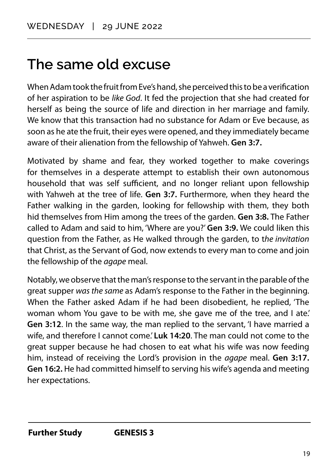#### <span id="page-21-0"></span>**The same old excuse**

When Adam took the fruit from Eve's hand, she perceived this to be a verification of her aspiration to be *like God*. It fed the projection that she had created for herself as being the source of life and direction in her marriage and family. We know that this transaction had no substance for Adam or Eve because, as soon as he ate the fruit, their eyes were opened, and they immediately became aware of their alienation from the fellowship of Yahweh. **Gen 3:7.**

Motivated by shame and fear, they worked together to make coverings for themselves in a desperate attempt to establish their own autonomous household that was self sufficient, and no longer reliant upon fellowship with Yahweh at the tree of life. **Gen 3:7.** Furthermore, when they heard the Father walking in the garden, looking for fellowship with them, they both hid themselves from Him among the trees of the garden. **Gen 3:8.** The Father called to Adam and said to him, 'Where are you?' **Gen 3:9.** We could liken this question from the Father, as He walked through the garden, to t*he invitation*  that Christ, as the Servant of God, now extends to every man to come and join the fellowship of the *agape* meal.

Notably, we observe that the man's response to the servant in the parable of the great supper *was the same* as Adam's response to the Father in the beginning. When the Father asked Adam if he had been disobedient, he replied, 'The woman whom You gave to be with me, she gave me of the tree, and I ate.' **Gen 3:12**. In the same way, the man replied to the servant, 'I have married a wife, and therefore I cannot come.' **Luk 14:20**. The man could not come to the great supper because he had chosen to eat what his wife was now feeding him, instead of receiving the Lord's provision in the *agape* meal. **Gen 3:17. Gen 16:2.** He had committed himself to serving his wife's agenda and meeting her expectations.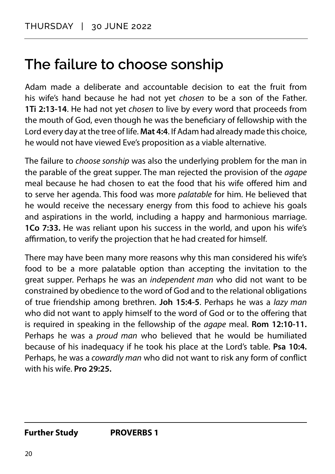#### <span id="page-22-0"></span>**The failure to choose sonship**

Adam made a deliberate and accountable decision to eat the fruit from his wife's hand because he had not yet *chosen* to be a son of the Father. **1Ti 2:13-14**. He had not yet *chosen* to live by every word that proceeds from the mouth of God, even though he was the beneficiary of fellowship with the Lord every day at the tree of life. **Mat 4:4**. If Adam had already made this choice, he would not have viewed Eve's proposition as a viable alternative.

The failure to *choose sonship* was also the underlying problem for the man in the parable of the great supper. The man rejected the provision of the *agape* meal because he had chosen to eat the food that his wife offered him and to serve her agenda. This food was more *palatable* for him. He believed that he would receive the necessary energy from this food to achieve his goals and aspirations in the world, including a happy and harmonious marriage. **1Co 7:33.** He was reliant upon his success in the world, and upon his wife's affirmation, to verify the projection that he had created for himself.

There may have been many more reasons why this man considered his wife's food to be a more palatable option than accepting the invitation to the great supper. Perhaps he was an *independent man* who did not want to be constrained by obedience to the word of God and to the relational obligations of true friendship among brethren. **Joh 15:4-5**. Perhaps he was a *lazy man*  who did not want to apply himself to the word of God or to the offering that is required in speaking in the fellowship of the *agape* meal. **Rom 12:10-11.** Perhaps he was a *proud man* who believed that he would be humiliated because of his inadequacy if he took his place at the Lord's table. **Psa 10:4.**  Perhaps, he was a *cowardly man* who did not want to risk any form of conflict with his wife. **Pro 29:25.**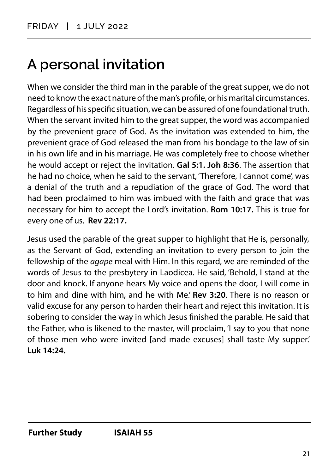## <span id="page-23-0"></span>**A personal invitation**

When we consider the third man in the parable of the great supper, we do not need to know the exact nature of the man's profile, or his marital circumstances. Regardless of his specific situation, we can be assured of one foundational truth. When the servant invited him to the great supper, the word was accompanied by the prevenient grace of God. As the invitation was extended to him, the prevenient grace of God released the man from his bondage to the law of sin in his own life and in his marriage. He was completely free to choose whether he would accept or reject the invitation. **Gal 5:1. Joh 8:36**. The assertion that he had no choice, when he said to the servant, 'Therefore, I cannot come', was a denial of the truth and a repudiation of the grace of God. The word that had been proclaimed to him was imbued with the faith and grace that was necessary for him to accept the Lord's invitation. **Rom 10:17.** This is true for every one of us. **Rev 22:17.**

Jesus used the parable of the great supper to highlight that He is, personally, as the Servant of God, extending an invitation to every person to join the fellowship of the *agape* meal with Him. In this regard, we are reminded of the words of Jesus to the presbytery in Laodicea. He said, 'Behold, I stand at the door and knock. If anyone hears My voice and opens the door, I will come in to him and dine with him, and he with Me.' **Rev 3:20**. There is no reason or valid excuse for any person to harden their heart and reject this invitation. It is sobering to consider the way in which Jesus finished the parable. He said that the Father, who is likened to the master, will proclaim, 'I say to you that none of those men who were invited [and made excuses] shall taste My supper.' **Luk 14:24.**